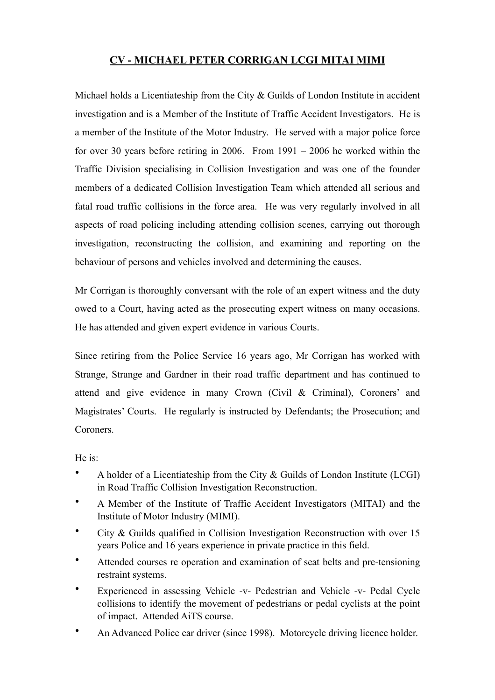## **CV - MICHAEL PETER CORRIGAN LCGI MITAI MIMI**

Michael holds a Licentiateship from the City & Guilds of London Institute in accident investigation and is a Member of the Institute of Traffic Accident Investigators. He is a member of the Institute of the Motor Industry. He served with a major police force for over 30 years before retiring in 2006. From 1991 – 2006 he worked within the Traffic Division specialising in Collision Investigation and was one of the founder members of a dedicated Collision Investigation Team which attended all serious and fatal road traffic collisions in the force area. He was very regularly involved in all aspects of road policing including attending collision scenes, carrying out thorough investigation, reconstructing the collision, and examining and reporting on the behaviour of persons and vehicles involved and determining the causes.

Mr Corrigan is thoroughly conversant with the role of an expert witness and the duty owed to a Court, having acted as the prosecuting expert witness on many occasions. He has attended and given expert evidence in various Courts.

Since retiring from the Police Service 16 years ago, Mr Corrigan has worked with Strange, Strange and Gardner in their road traffic department and has continued to attend and give evidence in many Crown (Civil & Criminal), Coroners' and Magistrates' Courts. He regularly is instructed by Defendants; the Prosecution; and Coroners.

He is:

- A holder of a Licentiateship from the City & Guilds of London Institute (LCGI) in Road Traffic Collision Investigation Reconstruction.
- A Member of the Institute of Traffic Accident Investigators (MITAI) and the Institute of Motor Industry (MIMI).
- City & Guilds qualified in Collision Investigation Reconstruction with over 15 years Police and 16 years experience in private practice in this field.
- Attended courses re operation and examination of seat belts and pre-tensioning restraint systems.
- Experienced in assessing Vehicle -v- Pedestrian and Vehicle -v- Pedal Cycle collisions to identify the movement of pedestrians or pedal cyclists at the point of impact. Attended AiTS course.
- An Advanced Police car driver (since 1998). Motorcycle driving licence holder.